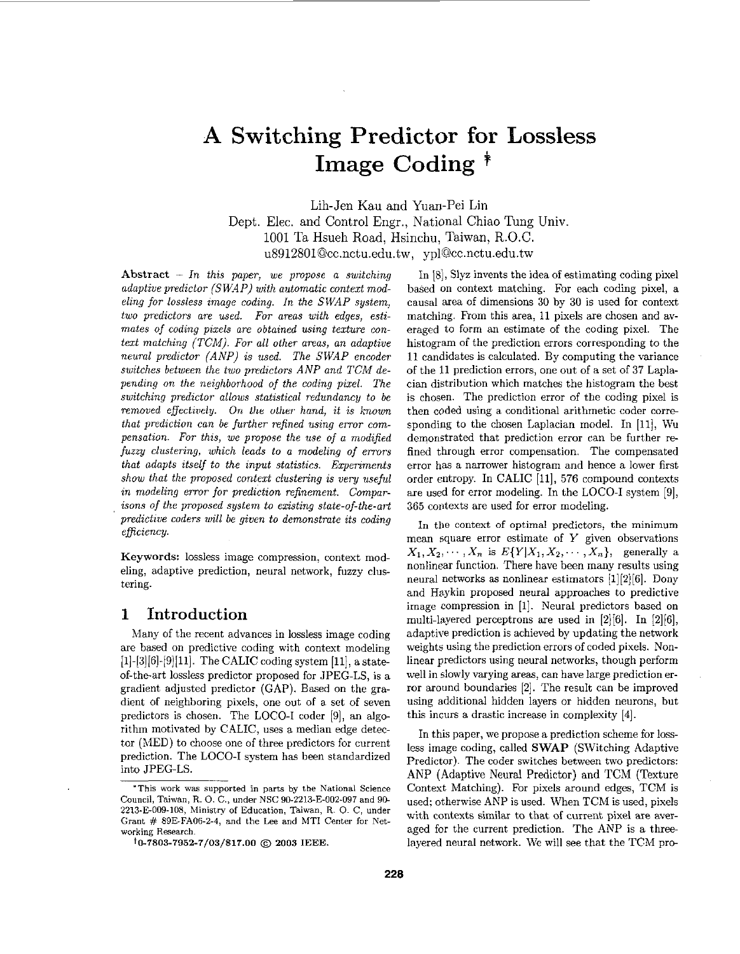# **A Switching Predictor for** Lossless **Image Coding** \*

Lih-Jen Kau and Yuan-Pei Lin Dept. Elec. and Control Engr., National Chiao Tung Univ. 1001 Ta Hsueh Road, Hsinchu, Taiwan, R.O.C. **u89128010cc.nctu.edu.tw,** ypl0cc.nctu.edu.tw

Abstract - *In this paper, we propose a switching adaptive predictor (SWAP) with automatic context modeling for lossless image coding. In the SWAP system, two predictors are used. FOT areas with edges, esti*mates of coding pixels are obtained using texture con*text matching (TCM). For all other arras, an adaptive neural predictor (ANP) is used. The SWAP encoder switches between the two predictors ANP and TGM depending on the neighborhood of the coding pixel. The*   $switching\ predictor\ allows\ statistical\ redundancy\ to\ be$ *removed effectively.* On the other hand, it is known *that prediction can be further refined using error compensation. For this, we propose the use of a modijied fuzzy clustering, which leads to a modeling of errors that adapts itself to the input statistics. Experiments show that the proposed context clustering is very useful in modeling error for prediction refinement. Comparisons of the proposed system to existing state-of-the-art predictive coders will be given to demonstrate its coding efficiency.* 

Keywords: lossless image compression, context modeling, adaptive prediction, neural network, fuzzy clustering.

# **1 Introduction**

Many of the recent advances in lossless image coding are based on predictive coding with context modeling  $[1]-[3][6]-[9][11]$ . The CALIC coding system  $[11]$ , a stateof-the-art lossless predictor proposed for JPEG-LS, is a gradient adjusted predictor (GAP). Based on the gradient of neighboring pixels, one out of a set *of* seven predictors is chosen. The LOCO-I coder [9], an algorithm motivated by CALIC, uses a median edge detector (MED) to choose one *of* three predictors for current prediction. The LOCO-I system has been standardized into JPEG-LS.

In [SI, Slyz invents the idea **of** estimating coding pixel based on context matching. For each coding pixel, a causal area *of* dimensions 30 by **30** is used for context matching. From this area, 11 pixels are chosen and averaged *to* form an estimate of the coding pixel. The histogram *of* the prediction errors corresponding to the 11 candidates is calculated. By computing the variance of the 11 prediction errors, one out of a set of 37 Laplacian distribution which matches the histogram the best is chosen. The prediction error of the coding pixel is then coded using a conditional arithmetic coder corresponding to the chosen Laplacian model. In [11], Wu demonstrated that prediction error can be further refined through error compensation. The compensated error has a narrower histogram and hence a lower first order entropy. In CALIC [ll], 576 compound contexts are used for error modeling. In the LOCO-I system 191, 365 contexts are used for error modeling.

In the context of optimal predictors, the minimum mean square error estimate of *Y* given observations  $X_1, X_2, \cdots, X_n$  is  $E\{Y|X_1, X_2, \cdots, X_n\}$ , generally a nonlinsar function. There have been many results using neural networks **as** nonlinear estimators [1][2][6]. Dony and Haykin proposed neural approaches to predictive image compression in [l]. Neural predictors based on multi-layered perceptrons are used in [2][6]. In [2][6], adaptive prediction is achieved by updating the network weights using the prediction errors *of* coded pixels. Nonlinear predictors using neural networks, though perform well in slowly varying areas, can have large prediction error around boundaries [2]. The result can be improved using additional hidden layers or hidden neurons, but this incurs a drastic increase in complexity [4].

In this paper, we propose a prediction scheme for lossless image coding, called SWAP (SWitching Adaptive Predictor). The coder switches between two predictors: **ANP** (Adaptive Neural Predictor) and TCM (Texture Context Matching). For pixels around edges, TCM is used; otherwise ANP is used. When TCM is used, pixels with contexts similar to that of current pixel are averaged for the current prediction. The ANP is a threelayered neural network. We will see that the TCM pro-

**<sup>&#</sup>x27;This work was supported** in **parts by the** National **Science**  Council, Taiwan, R. *0.* C., **under** NSC 90-2?13-E-002-097 and 9C-2?13-E009-108, Ministry **of Education,** Taiwan, R. *0.* C, **under Grant** # **89E-FA06-2-4,** and the **Lee and MTI** Center **for Networking Research.** 

**<sup>~0-7803-7952-7/03/\$17.00</sup>** @ **2003 IEEE.**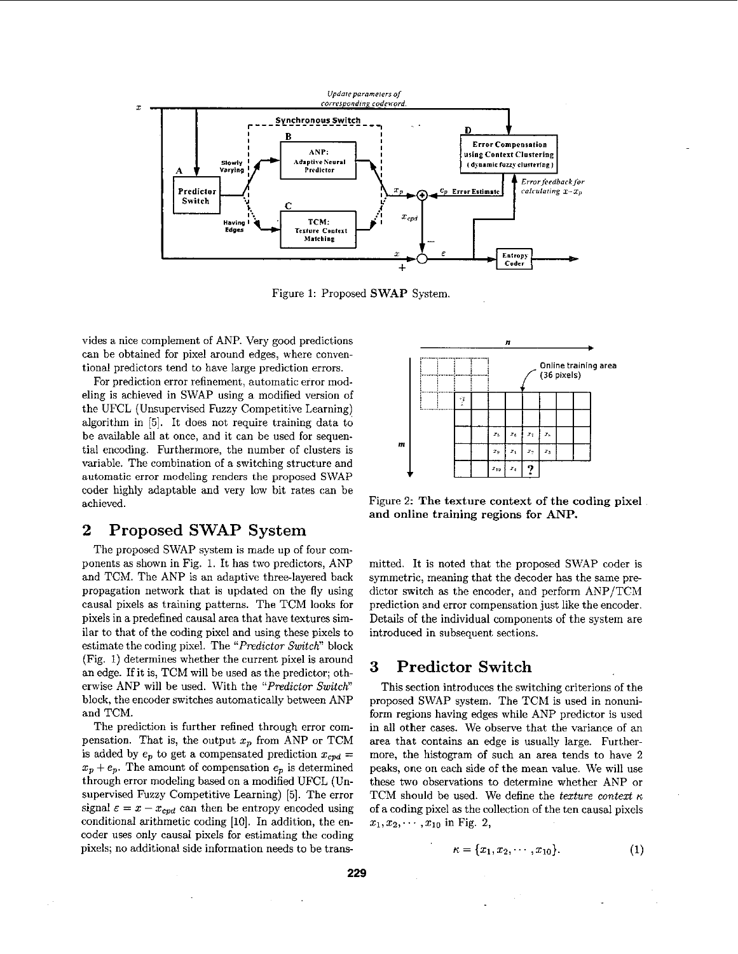

Figure 1: Proposed SWAP System.

vides a nice complement of ANP. Very good predictions can he obtained for pixel around edges, where conventional predictors tend to have large prediction errors.

For prediction error refinement, automatic error modeling is achieved in SWAP using a modified version of the UFCL (Unsupervised Fuzzy Competitive Learning) algorithm in *[5].* It does not require training data to be available all at once, and it can be used for sequential encoding. Furthermore, the number of clusters is variable. The combination of a switching structure and automatic error modeling renders the proposed SWAP coder highly adaptable and very low bit rates can be achieved.

# 2 Proposed SWAP System

The proposed SWAP system is made up of four components as shown in Fig. 1. It has two predictors, ANP and TCM. The ANP is an adaptive three-layered back propagation network that is updated on the fly using causal pixels as training patterns. The TCM looks for pixels in a predefined causal area that have textures similar to that of the coding pixel and using these pixels to estimate the coding pixel. The *"Predictor Switch"* block (Fig. **1)** determines whether the current pixel is around an edge. If it is, TCM will be used **as** the predictor; otherwise ANP will be used. With the *"Predictor SwitcK'*  block, the encoder switches automatically between ANP and TCM.

The prediction is further refined through error compensation. That is, the output  $x_p$  from ANP or TCM is added by  $e_p$  to get a compensated prediction  $x_{cpd} =$  $x_p + e_p$ . The amount of compensation  $e_p$  is determined through error modeling based on a modified UFCL (Unsupervised Fuzzy competitive Learning) *[5].* The error signal  $\varepsilon = x - x_{\text{cpd}}$  can then be entropy encoded using conditional arithmetic coding [10]. In addition, the encoder uses only causal pixels for estimating the coding pixels; no additional side information needs to be trans



Figure 2: The texture context **of** the coding pixel and online training regions **for ANP.** 

mitted. It is noted that the proposed SWAP coder is symmetric, meaning that the decoder has the same predictor switch as the encoder, and perform ANP/TCM prediction and error compensation just like the encoder. Details of the individual components of the system are introduced in subsequent sections.

# **3** Predictor Switch

This section introduces the switching criterions of the proposed SWAP system. The TCM is used in nonuniform regions having edges while ANP predictor is used in all other cases. We observe that the variance of an area that contains an edge is usually large. Furthermore, the histogram of such an area tends to have 2 peaks, one on each side of the mean value. We will use these two observations to determine whether ANP or TCM should be used. We define the *texture context*  $\kappa$ of a coding pixel as the collection of the ten causal pixels  $x_1, x_2, \cdots, x_{10}$  in Fig. 2,

$$
\kappa = \{x_1, x_2, \cdots, x_{10}\}.
$$
 (1)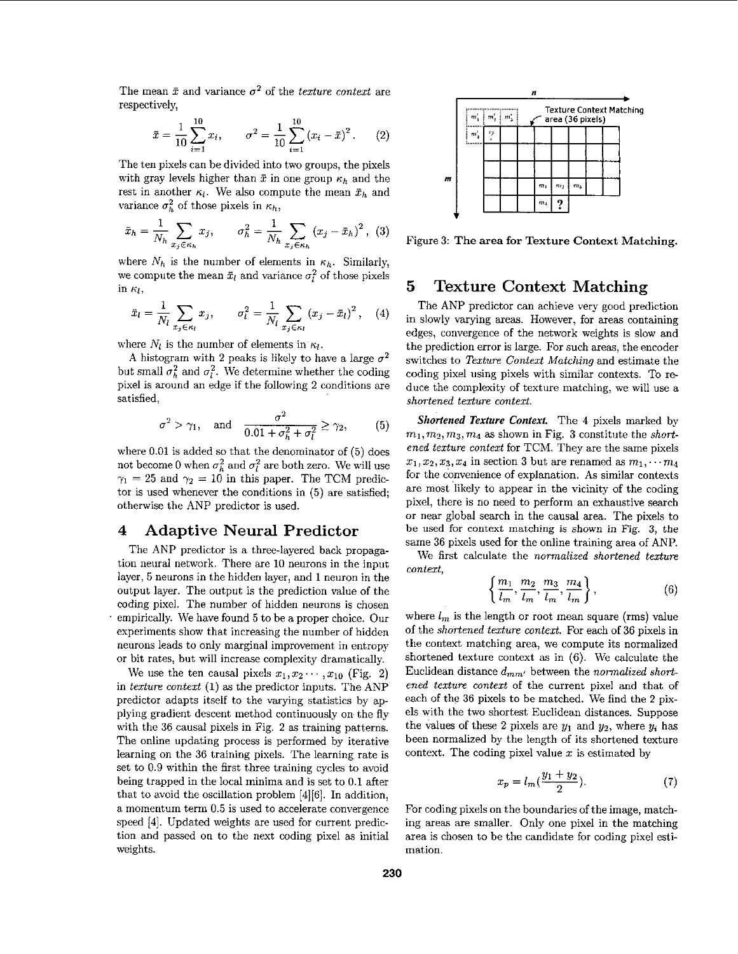The mean  $\bar{x}$  and variance  $\sigma^2$  of the *texture context* are respectively,

$$
\bar{x} = \frac{1}{10} \sum_{i=1}^{10} x_i, \qquad \sigma^2 = \frac{1}{10} \sum_{i=1}^{10} (x_i - \bar{x})^2. \tag{2}
$$

The ten pixels can he divided into two groups, the pixels with gray levels higher than  $\bar{x}$  in one group  $\kappa_h$  and the rest in another  $\kappa_l$ . We also compute the mean  $\bar{x}_h$  and variance  $\sigma_h^2$  of those pixels in  $\kappa_h$ ,

$$
\bar{x}_h = \frac{1}{N_h} \sum_{x_j \in \kappa_h} x_j, \qquad \sigma_h^2 = \frac{1}{N_h} \sum_{x_j \in \kappa_h} (x_j - \bar{x}_h)^2, \tag{3}
$$

where  $N_h$  is the number of elements in  $\kappa_h$ . Similarly, we compute the mean  $\bar{x}_l$  and variance  $\sigma_l^2$  of those pixels in  $\kappa_l$ ,

$$
\tilde{x}_l = \frac{1}{N_l} \sum_{x_j \in \kappa_l} x_j, \qquad \sigma_l^2 = \frac{1}{N_l} \sum_{x_j \in \kappa_l} (x_j - \bar{x}_l)^2, \quad (4)
$$

where  $N_l$  is the number of elements in  $\kappa_l$ .

A histogram with 2 peaks is likely to have a large  $\sigma^2$ but small  $\sigma_h^2$  and  $\sigma_l^2$ . We determine whether the coding pixel is around an edge if the following 2 conditions are satisfied,

$$
\sigma^2 > \gamma_1, \quad \text{and} \quad \frac{\sigma^2}{0.01 + \sigma_h^2 + \sigma_l^2} \ge \gamma_2,\tag{5}
$$

where 0.01 is added so that the denominator of *(5)* does not become 0 when  $\sigma_h^2$  and  $\sigma_l^2$  are both zero. We will use  $\gamma_1 = 25$  and  $\gamma_2 = 10$  in this paper. The TCM predictor is used whenever the conditions in (5) are satisfied; otherwise the ANP predictor is used.

# **4 Adaptive Neural Predictor**

The ANP predictor is a three-layered hack propagation neural network. There are 10 neurons in the input layer, *5* neurons in the hidden layer, and **1** neuron in the output layer. The output is the prediction value of the coding pixel. The number of hidden neurons is chosen empirically. We have found 5 to be a proper choice. Our experiments show that increasing the number of hidden neurons leads to only marginal improvement in entropy or bit rates, hut will increase complexity dramatically.

We use the ten causal pixels  $x_1, x_2 \cdots, x_{10}$  (Fig. 2) in texture context (1) as the predictor inputs. The ANP predictor adapts itself to the varying statistics by applying gradient descent method continuously on the fly with the 36 causal pixels in Fig. 2 as training patterns. The online updating process is performed by iterative learning on the 36 training pixels. The learning rate is set to 0.9 within the first three training cycles to avoid being trapped in the local minima and is set to 0.1 after that to avoid the oscillation problem [4][6]. In addition, a momentum term 0.5 is used to accelerate convergence speed [4]. Updated weights are used for current prediction and passed on to the next coding pixel as initial weights.



Figure 3: The area for Texture Context Matching.

# **5 Texture Context Matching**

The ANP predictor can achieve very good prediction in slowly varying areas. However, for areas containing edges, convergence of the network weights is slow and the prediction error is large. For such areas, the encoder switches to Texture Context Matching and estimate the coding pixel using pixels with similar contexts. To **re**duce the complexity of texture matching, we will use a shortened texture context.

*Shortened Texture Contexf.* The 4 pixels marked by  $m_1, m_2, m_3, m_4$  as shown in Fig. 3 constitute the *short*ened texture context for TCM. They are the same pixels  $x_1, x_2, x_3, x_4$  in section 3 but are renamed as  $m_1, \ldots, m_4$ for the convenience of explanation. **As** similar contexts are most likely to appear in the vicinity of the coding pixel, there is no need to perform an exhaustive search or near global search in the causal area. The pixels to **be** used for context matching **is** shown in **Fig.** 3, the same 36 pixels used for the online training area of ANP.

We first calculate the normalized shortened texture context,

$$
\left\{\frac{m_1}{l_m}, \frac{m_2}{l_m}, \frac{m_3}{l_m}, \frac{m_4}{l_m}\right\},\tag{6}
$$

where  $l_m$  is the length or root mean square (rms) value of the shortened texture context. For each of **36** pixels in the context matching area, we compute its normalized shortened texture context as in (6). We calculate the Euclidean distance dmm, between the normalized *short*ened texture context of the current pixel and that of each of the 36 pixels to be matched. We find the 2 pixels with the two shortest Euclidean distances. Suppose the values of these 2 pixels are  $y_1$  and  $y_2$ , where  $y_i$  has been normalized by the length of its shortened texture context. The coding pixel value  $x$  is estimated by

$$
x_p = l_m(\frac{y_1 + y_2}{2}).
$$
 (7)

For coding pixels on the boundaries of the image, matching areas are smaller. Only one pixel in the matching area is chosen to be the candidate for coding pixel estimation.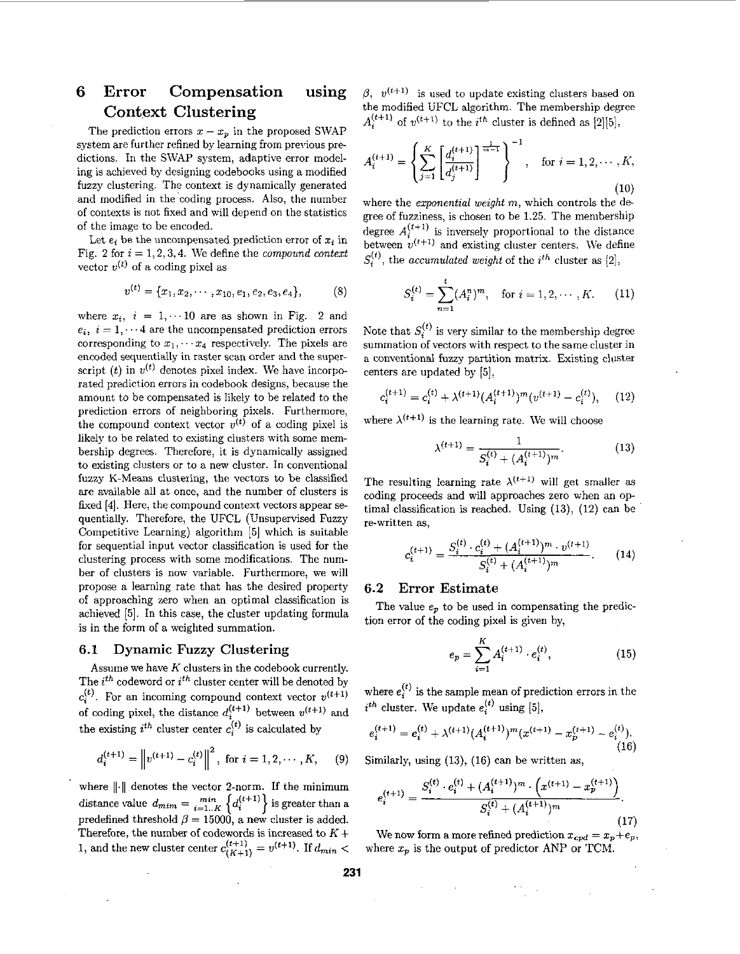# **6 Error Compensation using Context Clustering**

The prediction errors  $x - x_p$  in the proposed SWAP system are further refined by learning from previous predictions. In the SWAP system, adaptive error modeling is achieved by designing codebooks using a modified fuzzy clustering. The context is dynamically generated and modified in the'coding process. **Also,** the number of contexts is not fixed and will depend on the statistics of the image to he encoded.

Let  $e_i$  be the uncompensated prediction error of  $x_i$  in Fig. 2 for  $i = 1, 2, 3, 4$ . We define the *compound context* vector  $v^{(t)}$  of a coding pixel as

$$
v^{(t)} = \{x_1, x_2, \cdots, x_{10}, e_1, e_2, e_3, e_4\},\tag{8}
$$

where  $x_i$ ,  $i = 1, \dots 10$  are as shown in Fig. 2 and  $e_i$ ,  $i = 1, \dots 4$  are the uncompensated prediction errors corresponding to  $x_1, \cdots, x_4$  respectively. The pixels are encoded sequentially in raster scan order and the superscript (t) in  $v^{(t)}$  denotes pixel index. We have incorporated prediction errors in codebook designs, because the amount to he compensated is likely to he related to the prediction errors of neighboring pixels. Furthermore, the compound context vector  $v^{(t)}$  of a coding pixel is likely to be related to existing clusters with some membership degrees. Therefore, it is dynamically assigned to existing clusters or to a new cluster. In conventional fuzzy K-Means clustering, the vectors to be classified are available all at once, and the number of clusters is fixed [4]. Here, the compound context vectors appear sequentially. Therefore, the UFCL (Unsupervised Fuzzy Competitive Learning) algorithm *[5]* which is suitable for sequential input vector classification is used for the clustering process with some modifications. The number of clusters is now variable. Furthermore, we will propose a learning rate that has the desired property of approaching zero when an optimal classification is achieved *[5].* In this case, the cluster updating formula is in the form of a weighted summation.

#### **6.1 Dynamic Fuzzy Clustering**

Assume we have *K* clusters in the codebook currently. The *ith* codeword or *ifh* cluster center will be denoted by  $c_i^{(t)}$ . For an incoming compound context vector  $v^{(t+1)}$ of coding pixel, the distance  $d_i^{(t+1)}$  between  $v^{(t+1)}$  and the existing  $i^{th}$  cluster center  $c_i^{(t)}$  is calculated by

$$
d_i^{(t+1)} = \left\| v^{(t+1)} - c_i^{(t)} \right\|^2, \text{ for } i = 1, 2, \cdots, K, \quad (9)
$$

where  $\lVert \cdot \rVert$  denotes the vector 2-norm. If the minimum distance value  $d_{mim} = \min_{i=1...K} \left\{ d_i^{(t+1)} \right\}$  is greater than a distance value  $d_{mim} = \sum_{i=1...K}^{mkn} \left\{ d_i^{(i+1)} \right\}$  is greater than a predefined threshold  $\beta = 15000$ , a new cluster is added. Therefore, the number of codewords is increased to *K* + 1, and the new cluster center  $c_{(K+1)}^{(t+1)} = v^{(t+1)}$ . If  $d_{min}$ 

 $\beta$ ,  $v^{(t+1)}$  is used to update existing clusters based on the modified UFCL algorithm. The membership degree  $A_i^{(t+1)}$  of  $v^{(t+1)}$  to the *i*<sup>th</sup> cluster is defined as [2][5],

$$
A_i^{(t+1)} = \left\{ \sum_{j=1}^K \left[ \frac{d_i^{(t+1)}}{d_j^{(t+1)}} \right]^{\frac{1}{m-1}} \right\}^{-1}, \text{ for } i = 1, 2, \cdots, K,
$$
\n(10)

where the *exponential weight m,* which controls the degree of fuzziness, is chosen to be **1.25.** The membership degree  $A_i^{(i+1)}$  is inversely proportional to the distance between  $v^{(t+1)}$  and existing cluster centers. We define  $S_i^{(t)}$ , the *accumulated weight* of the *i*<sup>th</sup> cluster as [2],

$$
S_i^{(t)} = \sum_{n=1}^t (A_i^n)^m, \text{ for } i = 1, 2, \cdots, K. \qquad (11)
$$

Note that  $S_i^{(t)}$  is very similar to the membership degree summation of vectors with respect to the same cluster in a conventional fuzzy partition matrix. Existing clnster centers are updated by *[5]:* 

$$
c_i^{(t+1)} = c_i^{(t)} + \lambda^{(t+1)} (A_i^{(t+1)})^m (v^{(t+1)} - c_i^{(t)}), \quad (12)
$$

where  $\lambda^{(t+1)}$  is the learning rate. We will choose

$$
\lambda^{(t+1)} = \frac{1}{S_i^{(t)} + (A_i^{(t+1)})^m}.\tag{13}
$$

The resulting learning rate  $\lambda^{(t+1)}$  will get smaller as coding proceeds and will approaches zero when an optimal classification is reached. Using **(13),** (12) can be re-written as,

$$
c_i^{(t+1)} = \frac{S_i^{(t)} \cdot c_i^{(t)} + (A_i^{(t+1)})^m \cdot v^{(t+1)}}{S_i^{(t)} + (A_i^{(t+1)})^m}.
$$
 (14)

### **6.2 Error Estimate**

tion error of the coding pixel is given by, The value  $e_p$  to be used in compensating the predic-

$$
e_p = \sum_{i=1}^{K} A_i^{(t+1)} \cdot e_i^{(t)}, \tag{15}
$$

where  $e_i^{(t)}$  is the sample mean of prediction errors in the  $i^{th}$  cluster. We update  $e_i^{(t)}$  using [5],

$$
e_i^{(t+1)} = e_i^{(t)} + \lambda^{(t+1)} (A_i^{(t+1)})^m (x^{(t+1)} - x_p^{(t+1)} - e_i^{(t)}).
$$
\n(16)

Similarly, using (13), (16) can be written **as,** 

$$
e_i^{(t+1)} = \frac{S_i^{(t)} \cdot e_i^{(t)} + (A_i^{(t+1)})^m \cdot \left(x^{(t+1)} - x_p^{(t+1)}\right)}{S_i^{(t)} + (A_i^{(t+1)})^m}.
$$
\n(17)

 $(17)$ <br>We now form a more refined prediction  $x_{cpd} = x_p + e_p$ , where  $x_p$  is the output of predictor ANP or TCM.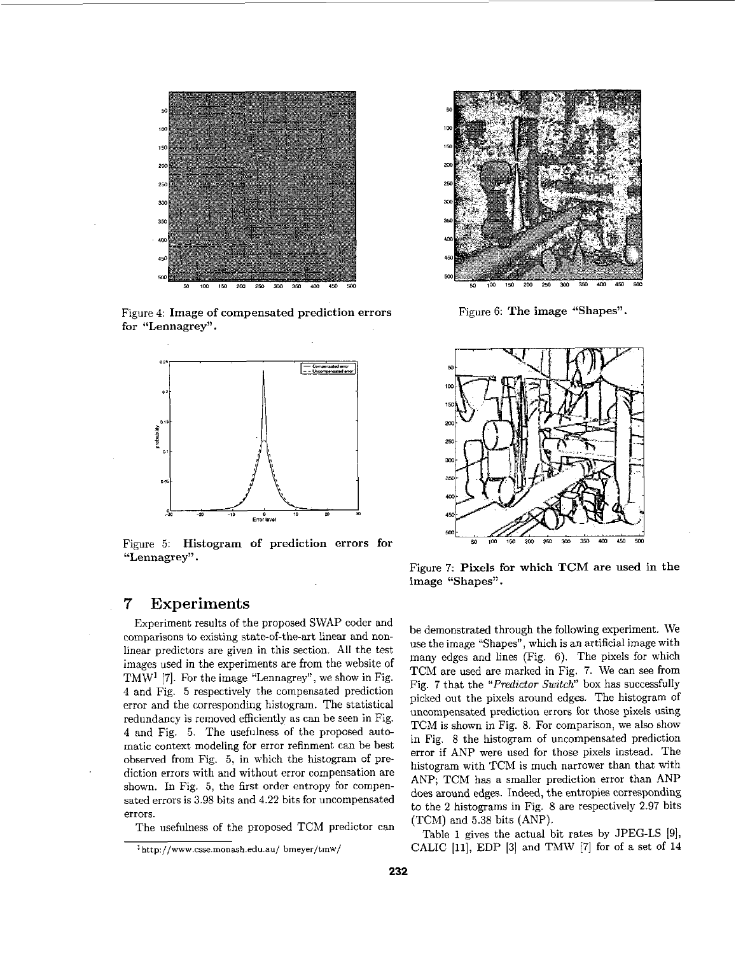

Figure 4: Image **of** compensated prediction errors **for** "Lennagrey".



Figure 5: Histogram **of** prediction errors **for**  '<Lennagrey''.

# *7* **Experiments**

Experiment results of the proposed SWAP coder and comparisons to existing state-of-the-art linear and nonlinear predictors are given in this section. All the test images used in the experiments are from the website of TMW<sup>1</sup> [7]. For the image "Lennagrey", we show in Fig. 4 and Fig. *5* respectively the compensated prediction error and the corresponding histogram. The statistical redundancy is removed efficiently as can he seen in Fig. 4 and Fig. *5.* The usefulness of the proposed autcmatic context modeling for error refinment can he hest observed from Fig. 5, in which the histogram of prediction errors with and without error compensation are shown. In Fig. *5,* the first order entropy for compensated errors is 3.98 hits and **4.22** hits for uncompensated errors.

The usefulness of the proposed TCM predictor can



Figure 6: The image "Shapes".



Figure 7: Pixels for which TCM are used in the image "Shapes".

be demonstrated through the following experiment. We use the image "Shapes", which is **an** artificial image with many edges and lines (Fig. 6). The pixels for which TCM are used are marked in Fig. **7.** We can see from Fig. **7** that the *"Predictor Switch"* box has successfully picked out the pixels around edges. The histogram of uncompensated prediction errors for those pixels using TCM is shown in Fig. 8. For comparison, we also show in Fig. 8 the histogram of uncompensated prediction error if ANP were used for those pixels instead. The histogram with TCM is much narrower than that with ANP; TCM has a smaller prediction error than ANP does around edges. Indeed, the entropies corresponding to the **2** histograms in Fig. 8 are respectively 2.97 hits (TCM) and *5.38* hits (ANP).

Table 1 gives the actual bit rates by JPEG-LS [9], CALIC [11], EDP *[3]* and Th4W [7] **for** of a set of **14** 

Ihttp **//www** csse monash **edu au/ bmeyer/tmw/**